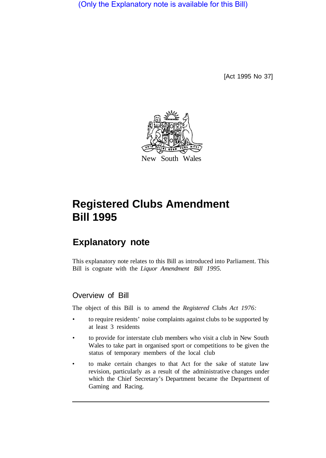(Only the Explanatory note is available for this Bill)

[Act 1995 No 37]



# **Registered Clubs Amendment Bill 1995**

# **Explanatory note**

This explanatory note relates to this Bill as introduced into Parliament. This Bill is cognate with the *Liquor Amendment Bill 1995.* 

## Overview of Bill

The object of this Bill is to amend the *Registered Clubs Act 1976:* 

- to require residents' noise complaints against clubs to be supported by at least 3 residents
- to provide for interstate club members who visit a club in New South Wales to take part in organised sport or competitions to be given the status of temporary members of the local club
- to make certain changes to that Act for the sake of statute law revision, particularly as a result of the administrative changes under which the Chief Secretary's Department became the Department of Gaming and Racing.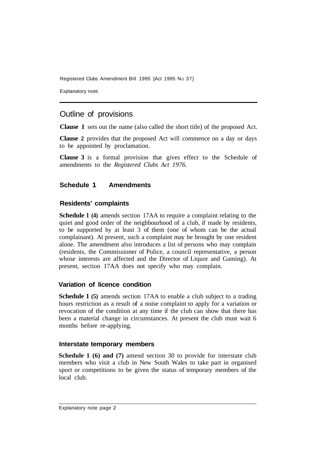Registered Clubs Amendment Bill 1995 [Act 1995 No 37]

Explanatory note

### Outline of provisions

**Clause 1** sets out the name (also called the short title) of the proposed Act.

**Clause 2** provides that the proposed Act will commence on a day or days to be appointed by proclamation.

**Clause 3** is a formal provision that gives effect to the Schedule of amendments to the *Registered Clubs Act 1976.* 

#### **Schedule 1 Amendments**

#### **Residents' complaints**

**Schedule 1 (4)** amends section 17AA to require a complaint relating to the quiet and good order of the neighbourhood of a club, if made by residents, to be supported by at least 3 of them (one of whom can be the actual complainant). At present, such a complaint may be brought by one resident alone. The amendment also introduces a list of persons who may complain (residents, the Commissioner of Police, a council representative, a person whose interests are affected and the Director of Liquor and Gaming). At present, section 17AA does not specify who may complain.

#### **Variation of licence condition**

**Schedule 1 (5)** amends section 17AA to enable a club subject to a trading hours restriction as a result of a noise complaint to apply for a variation or revocation of the condition at any time if the club can show that there has been a material change in circumstances. At present the club must wait 6 months before re-applying.

#### **Interstate temporary members**

**Schedule 1 (6) and (7)** amend section 30 to provide for interstate club members who visit a club in New South Wales to take part in organised sport or competitions to be given the status of temporary members of the local club.